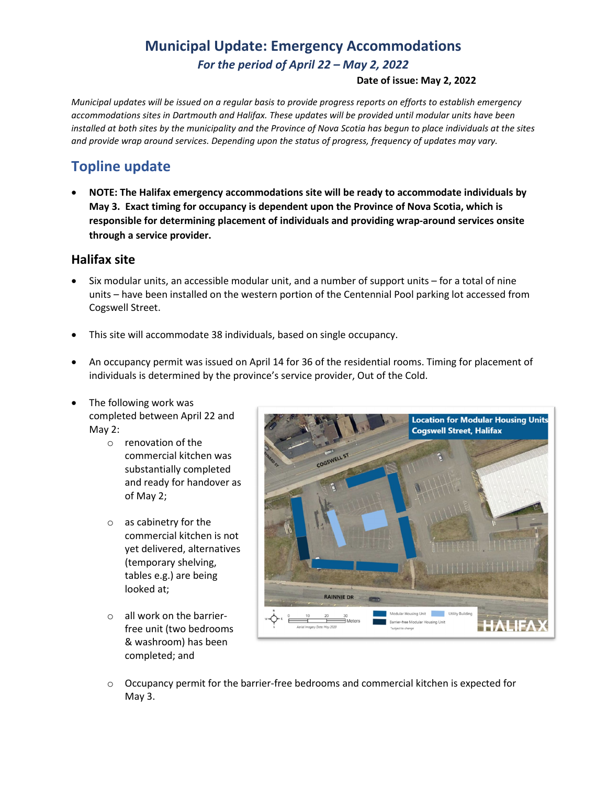# **Municipal Update: Emergency Accommodations** *For the period of April 22 – May 2, 2022*

#### **Date of issue: May 2, 2022**

*Municipal updates will be issued on a regular basis to provide progress reports on efforts to establish emergency accommodations sites in Dartmouth and Halifax. These updates will be provided until modular units have been installed at both sites by the municipality and the Province of Nova Scotia has begun to place individuals at the sites and provide wrap around services. Depending upon the status of progress, frequency of updates may vary.* 

### **Topline update**

• **NOTE: The Halifax emergency accommodations site will be ready to accommodate individuals by May 3. Exact timing for occupancy is dependent upon the Province of Nova Scotia, which is responsible for determining placement of individuals and providing wrap-around services onsite through a service provider.**

#### **Halifax site**

- Six modular units, an accessible modular unit, and a number of support units for a total of nine units – have been installed on the western portion of the Centennial Pool parking lot accessed from Cogswell Street.
- This site will accommodate 38 individuals, based on single occupancy.
- An occupancy permit was issued on April 14 for 36 of the residential rooms. Timing for placement of individuals is determined by the province's service provider, Out of the Cold.
- The following work was completed between April 22 and May 2:
	- o renovation of the commercial kitchen was substantially completed and ready for handover as of May 2;
	- o as cabinetry for the commercial kitchen is not yet delivered, alternatives (temporary shelving, tables e.g.) are being looked at;
	- o all work on the barrierfree unit (two bedrooms & washroom) has been completed; and



 $\circ$  Occupancy permit for the barrier-free bedrooms and commercial kitchen is expected for May 3.